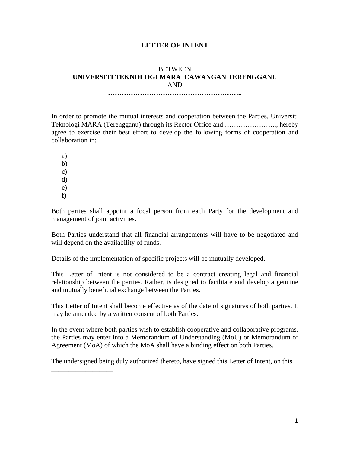## **LETTER OF INTENT**

## **BETWEEN UNIVERSITI TEKNOLOGI MARA CAWANGAN TERENGGANU** AND

**…………………………………………………..**

In order to promote the mutual interests and cooperation between the Parties, Universiti Teknologi MARA (Terengganu) through its Rector Office and ………………….., hereby agree to exercise their best effort to develop the following forms of cooperation and collaboration in:

a)

b)

c)

d)

e)

**f)**

\_\_\_\_\_\_\_\_\_\_\_\_\_\_\_\_\_\_.

Both parties shall appoint a focal person from each Party for the development and management of joint activities.

Both Parties understand that all financial arrangements will have to be negotiated and will depend on the availability of funds.

Details of the implementation of specific projects will be mutually developed.

This Letter of Intent is not considered to be a contract creating legal and financial relationship between the parties. Rather, is designed to facilitate and develop a genuine and mutually beneficial exchange between the Parties.

This Letter of Intent shall become effective as of the date of signatures of both parties. It may be amended by a written consent of both Parties.

In the event where both parties wish to establish cooperative and collaborative programs, the Parties may enter into a Memorandum of Understanding (MoU) or Memorandum of Agreement (MoA) of which the MoA shall have a binding effect on both Parties.

The undersigned being duly authorized thereto, have signed this Letter of Intent, on this